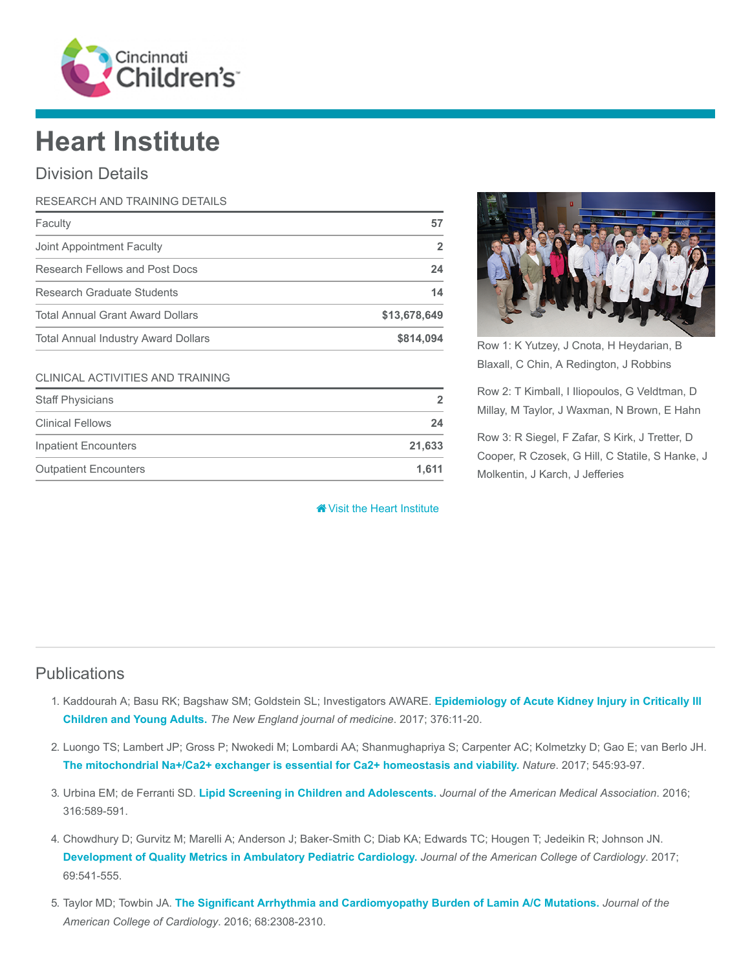

## Heart Institute

## Division Details

| RESEARCH AND TRAINING DETAILS              |              |
|--------------------------------------------|--------------|
| Faculty                                    | 57           |
| Joint Appointment Faculty                  | 2            |
| Research Fellows and Post Docs             | 24           |
| Research Graduate Students                 | 14           |
| <b>Total Annual Grant Award Dollars</b>    | \$13,678,649 |
| <b>Total Annual Industry Award Dollars</b> | \$814,094    |

## CLINICAL ACTIVITIES AND TRAINING

| <b>Staff Physicians</b>      | $\overline{2}$ |
|------------------------------|----------------|
| <b>Clinical Fellows</b>      | 24             |
| Inpatient Encounters         | 21,633         |
| <b>Outpatient Encounters</b> | 1.611          |

**W** [Visit the Heart Institute](https://www.cincinnatichildrens.org/research/divisions/h/heart)



Row 1: K Yutzey, J Cnota, H Heydarian, B Blaxall, C Chin, A Redington, J Robbins

Row 2: T Kimball, I Iliopoulos, G Veldtman, D Millay, M Taylor, J Waxman, N Brown, E Hahn

Row 3: R Siegel, F Zafar, S Kirk, J Tretter, D Cooper, R Czosek, G Hill, C Statile, S Hanke, J Molkentin, J Karch, J Jefferies

## **Publications**

- 1. [Kaddourah A; Basu RK; Bagshaw SM; Goldstein SL; Investigators AWARE.](https://www.ncbi.nlm.nih.gov/pubmed/27959707) Epidemiology of Acute Kidney Injury in Critically III Children and Young Adults. The New England journal of medicine. 2017; 376:11-20.
- 2. Luongo TS; Lambert JP; Gross P; Nwokedi M; Lombardi AA; Shanmughapriya S; Carpenter AC; Kolmetzky D; Gao E; van Berlo JH. [The mitochondrial Na+/Ca2+ exchanger is essential for Ca2+ homeostasis and viability.](https://www.ncbi.nlm.nih.gov/pubmed/28445457) Nature. 2017; 545:93-97.
- 3. Urbina EM; de Ferranti SD. [Lipid Screening in Children and Adolescents.](https://www.ncbi.nlm.nih.gov/pubmed/27532913) Journal of the American Medical Association. 2016; 316:589-591.
- 4. Chowdhury D; Gurvitz M; Marelli A; Anderson J; Baker-Smith C; Diab KA; Edwards TC; Hougen T; Jedeikin R; Johnson JN. [Development of Quality Metrics in Ambulatory Pediatric Cardiology.](https://www.ncbi.nlm.nih.gov/pubmed/28153110) Journal of the American College of Cardiology. 2017; 69:541-555.
- 5. Taylor MD; Towbin JA. [The Significant Arrhythmia and Cardiomyopathy Burden of Lamin A/C Mutations.](https://www.ncbi.nlm.nih.gov/pubmed/27884250) Journal of the American College of Cardiology. 2016; 68:2308-2310.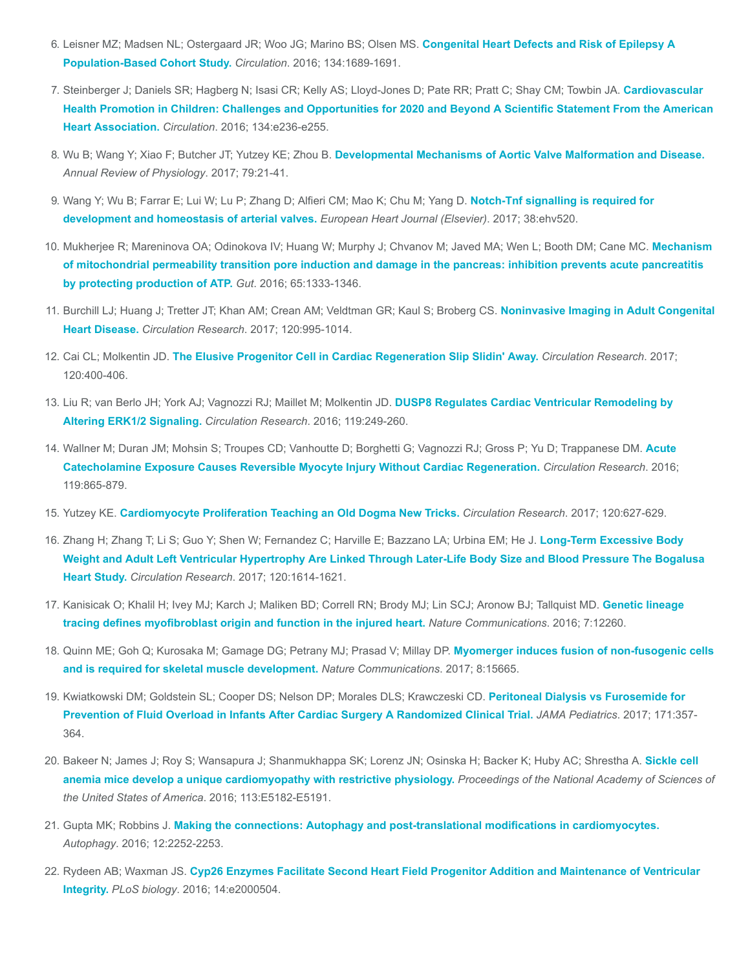- 6. [Leisner MZ; Madsen NL; Ostergaard JR; Woo JG; Marino BS; Olsen MS.](https://www.ncbi.nlm.nih.gov/pubmed/27881510) Congenital Heart Defects and Risk of Epilepsy A Population-Based Cohort Study. Circulation. 2016; 134:1689-1691.
- 7. Steinberger J; Daniels SR; Hagberg N; Isasi CR; Kelly AS; Lloyd-Jones D; Pate RR; Pratt C; Shay CM; Towbin JA. Cardiovascular [Health Promotion in Children: Challenges and Opportunities for 2020 and Beyond A Scientific Statement From the American](https://www.ncbi.nlm.nih.gov/pubmed/27515136) Heart Association. Circulation. 2016; 134:e236-e255.
- 8. Wu B; Wang Y; Xiao F; Butcher JT; Yutzey KE; Zhou B. [Developmental Mechanisms of Aortic Valve Malformation and Disease.](https://www.ncbi.nlm.nih.gov/pubmed/27959615) Annual Review of Physiology. 2017; 79:21-41.
- 9. [Wang Y; Wu B; Farrar E; Lui W; Lu P; Zhang D; Alfieri CM; Mao K; Chu M; Yang D.](https://www.ncbi.nlm.nih.gov/pubmed/26491108) Notch-Tnf signalling is required for development and homeostasis of arterial valves. European Heart Journal (Elsevier). 2017; 38:ehv520.
- 10. [Mukherjee R; Mareninova OA; Odinokova IV; Huang W; Murphy J; Chvanov M; Javed MA; Wen L; Booth DM; Cane MC.](https://www.ncbi.nlm.nih.gov/pubmed/26071131) Mechanism of mitochondrial permeability transition pore induction and damage in the pancreas: inhibition prevents acute pancreatitis by protecting production of ATP. Gut. 2016; 65:1333-1346.
- 11. [Burchill LJ; Huang J; Tretter JT; Khan AM; Crean AM; Veldtman GR; Kaul S; Broberg CS.](https://www.ncbi.nlm.nih.gov/pubmed/28302744) Noninvasive Imaging in Adult Congenital Heart Disease. Circulation Research. 2017; 120:995-1014.
- 12. Cai CL; Molkentin JD. [The Elusive Progenitor Cell in Cardiac Regeneration Slip Slidin' Away.](https://www.ncbi.nlm.nih.gov/pubmed/28104772) Circulation Research. 2017; 120:400-406.
- 13. [Liu R; van Berlo JH; York AJ; Vagnozzi RJ; Maillet M; Molkentin JD.](https://www.ncbi.nlm.nih.gov/pubmed/27225478) DUSP8 Regulates Cardiac Ventricular Remodeling by Altering ERK1/2 Signaling. Circulation Research. 2016; 119:249-260.
- 14. [Wallner M; Duran JM; Mohsin S; Troupes CD; Vanhoutte D; Borghetti G; Vagnozzi RJ; Gross P; Yu D; Trappanese DM.](https://www.ncbi.nlm.nih.gov/pubmed/27461939) Acute Catecholamine Exposure Causes Reversible Myocyte Injury Without Cardiac Regeneration. Circulation Research. 2016; 119:865-879.
- 15. Yutzey KE. [Cardiomyocyte Proliferation Teaching an Old Dogma New Tricks.](https://www.ncbi.nlm.nih.gov/pubmed/28209795) Circulation Research. 2017; 120:627-629.
- 16. Zhang H; Zhang T; Li S; Guo Y; Shen W; Fernandez C; Harville E; Bazzano LA; Urbina EM; He J. Long-Term Excessive Body [Weight and Adult Left Ventricular Hypertrophy Are Linked Through Later-Life Body Size and Blood Pressure The Bogalusa](https://www.ncbi.nlm.nih.gov/pubmed/28232594) Heart Study. Circulation Research. 2017; 120:1614-1621.
- 17. [Kanisicak O; Khalil H; Ivey MJ; Karch J; Maliken BD; Correll RN; Brody MJ; Lin SCJ; Aronow BJ; Tallquist MD.](https://www.ncbi.nlm.nih.gov/pubmed/27447449) Genetic lineage tracing defines myofibroblast origin and function in the injured heart. Nature Communications. 2016; 7:12260.
- 18. [Quinn ME; Goh Q; Kurosaka M; Gamage DG; Petrany MJ; Prasad V; Millay DP.](https://www.ncbi.nlm.nih.gov/pubmed/28569755) Myomerger induces fusion of non-fusogenic cells and is required for skeletal muscle development. Nature Communications. 2017; 8:15665.
- 19. [Kwiatkowski DM; Goldstein SL; Cooper DS; Nelson DP; Morales DLS; Krawczeski CD.](https://www.ncbi.nlm.nih.gov/pubmed/28241247) Peritoneal Dialysis vs Furosemide for Prevention of Fluid Overload in Infants After Cardiac Surgery A Randomized Clinical Trial. JAMA Pediatrics. 2017; 171:357- 364.
- 20. [Bakeer N; James J; Roy S; Wansapura J; Shanmukhappa SK; Lorenz JN; Osinska H; Backer K; Huby AC; Shrestha A.](https://www.ncbi.nlm.nih.gov/pubmed/27503873) Sickle cell anemia mice develop a unique cardiomyopathy with restrictive physiology. Proceedings of the National Academy of Sciences of the United States of America. 2016; 113:E5182-E5191.
- 21. Gupta MK; Robbins J. [Making the connections: Autophagy and post-translational modifications in cardiomyocytes.](https://www.ncbi.nlm.nih.gov/pubmed/27573291) Autophagy. 2016; 12:2252-2253.
- 22. Rydeen AB; Waxman JS. [Cyp26 Enzymes Facilitate Second Heart Field Progenitor Addition and Maintenance of Ventricular](https://www.ncbi.nlm.nih.gov/pubmed/27893754) Integrity. PLoS biology. 2016; 14:e2000504.